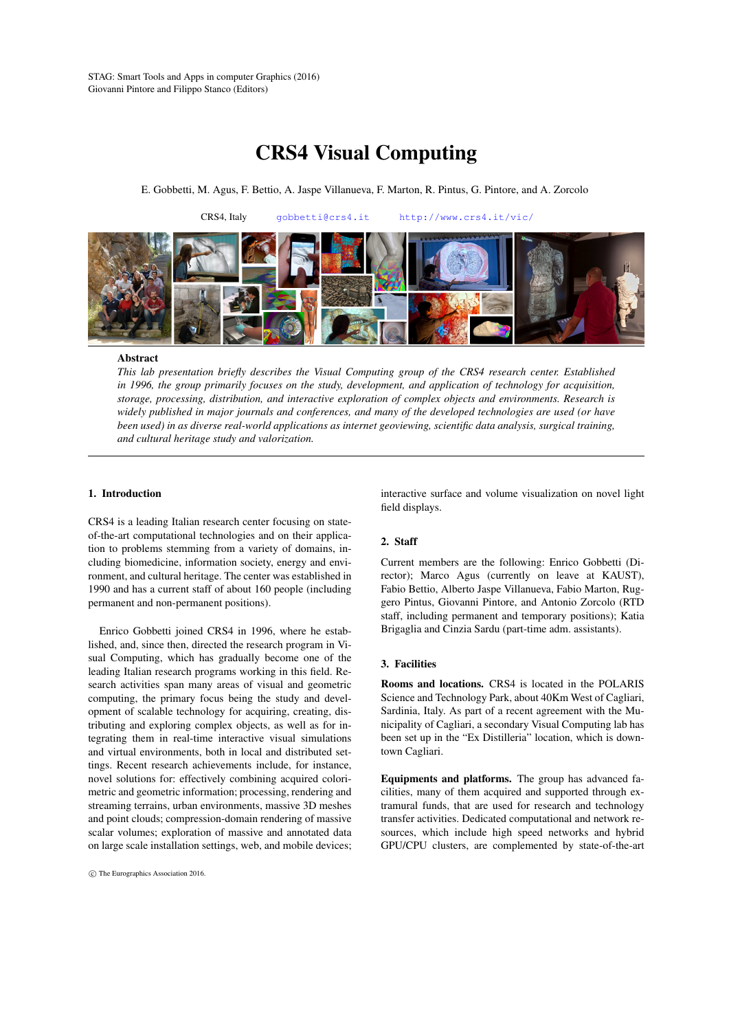# CRS4 Visual Computing

E. Gobbetti, M. Agus, F. Bettio, A. Jaspe Villanueva, F. Marton, R. Pintus, G. Pintore, and A. Zorcolo



#### **Abstract**

*This lab presentation briefly describes the Visual Computing group of the CRS4 research center. Established in 1996, the group primarily focuses on the study, development, and application of technology for acquisition, storage, processing, distribution, and interactive exploration of complex objects and environments. Research is widely published in major journals and conferences, and many of the developed technologies are used (or have been used) in as diverse real-world applications as internet geoviewing, scientific data analysis, surgical training, and cultural heritage study and valorization.*

# 1. Introduction

CRS4 is a leading Italian research center focusing on stateof-the-art computational technologies and on their application to problems stemming from a variety of domains, including biomedicine, information society, energy and environment, and cultural heritage. The center was established in 1990 and has a current staff of about 160 people (including permanent and non-permanent positions).

Enrico Gobbetti joined CRS4 in 1996, where he established, and, since then, directed the research program in Visual Computing, which has gradually become one of the leading Italian research programs working in this field. Research activities span many areas of visual and geometric computing, the primary focus being the study and development of scalable technology for acquiring, creating, distributing and exploring complex objects, as well as for integrating them in real-time interactive visual simulations and virtual environments, both in local and distributed settings. Recent research achievements include, for instance, novel solutions for: effectively combining acquired colorimetric and geometric information; processing, rendering and streaming terrains, urban environments, massive 3D meshes and point clouds; compression-domain rendering of massive scalar volumes; exploration of massive and annotated data on large scale installation settings, web, and mobile devices;

interactive surface and volume visualization on novel light field displays.

#### 2. Staff

Current members are the following: Enrico Gobbetti (Director); Marco Agus (currently on leave at KAUST), Fabio Bettio, Alberto Jaspe Villanueva, Fabio Marton, Ruggero Pintus, Giovanni Pintore, and Antonio Zorcolo (RTD staff, including permanent and temporary positions); Katia Brigaglia and Cinzia Sardu (part-time adm. assistants).

# 3. Facilities

Rooms and locations. CRS4 is located in the POLARIS Science and Technology Park, about 40Km West of Cagliari, Sardinia, Italy. As part of a recent agreement with the Municipality of Cagliari, a secondary Visual Computing lab has been set up in the "Ex Distilleria" location, which is downtown Cagliari.

Equipments and platforms. The group has advanced facilities, many of them acquired and supported through extramural funds, that are used for research and technology transfer activities. Dedicated computational and network resources, which include high speed networks and hybrid GPU/CPU clusters, are complemented by state-of-the-art